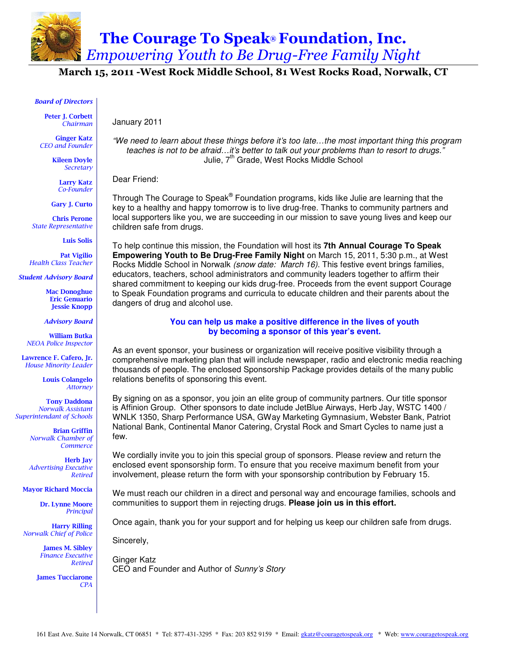

March 15, 2011 -West Rock Middle School, 81 West Rocks Road, Norwalk, CT

#### Board of Directors

Peter J. Corbett Chairman

Ginger Katz CEO and Founder

> Kileen Doyle **Secretary**

Larry Katz Co-Founder

Gary J. Curto

 Chris Perone State Representative

Luis Solis

Pat Vigilio Health Class Teacher

Student Advisory Board

Mac Donoghue Eric Genuario Jessie Knopp

Advisory Board

William Butka NEOA Police Inspector

Lawrence F. Cafero, Jr. House Minority Leader

> Louis Colangelo Attorney

Tony Daddona Norwalk Assistant Superintendant of Schools

> Brian Griffin Norwalk Chamber of **Commerce**

Herb Jay Advertising Executive Retired

Mayor Richard Moccia

Dr. Lynne Moore Principal

Harry Rilling Norwalk Chief of Police

> James M. Sibley Finance Executive Retired

James Tucciarone CPA

"We need to learn about these things before it's too late…the most important thing this program teaches is not to be afraid…it's better to talk out your problems than to resort to drugs." Julie, 7<sup>th</sup> Grade, West Rocks Middle School

Dear Friend:

January 2011

Through The Courage to Speak® Foundation programs, kids like Julie are learning that the key to a healthy and happy tomorrow is to live drug-free. Thanks to community partners and local supporters like you, we are succeeding in our mission to save young lives and keep our children safe from drugs.

To help continue this mission, the Foundation will host its **7th Annual Courage To Speak Empowering Youth to Be Drug-Free Family Night** on March 15, 2011, 5:30 p.m., at West Rocks Middle School in Norwalk (snow date: March 16). This festive event brings families, educators, teachers, school administrators and community leaders together to affirm their shared commitment to keeping our kids drug-free. Proceeds from the event support Courage to Speak Foundation programs and curricula to educate children and their parents about the dangers of drug and alcohol use.

#### **You can help us make a positive difference in the lives of youth by becoming a sponsor of this year's event.**

As an event sponsor, your business or organization will receive positive visibility through a comprehensive marketing plan that will include newspaper, radio and electronic media reaching thousands of people. The enclosed Sponsorship Package provides details of the many public relations benefits of sponsoring this event.

By signing on as a sponsor, you join an elite group of community partners. Our title sponsor is Affinion Group. Other sponsors to date include JetBlue Airways, Herb Jay, WSTC 1400 / WNLK 1350, Sharp Performance USA, GWay Marketing Gymnasium, Webster Bank, Patriot National Bank, Continental Manor Catering, Crystal Rock and Smart Cycles to name just a few.

We cordially invite you to join this special group of sponsors. Please review and return the enclosed event sponsorship form. To ensure that you receive maximum benefit from your involvement, please return the form with your sponsorship contribution by February 15.

We must reach our children in a direct and personal way and encourage families, schools and communities to support them in rejecting drugs. **Please join us in this effort.** 

Once again, thank you for your support and for helping us keep our children safe from drugs.

Sincerely,

Ginger Katz CEO and Founder and Author of Sunny's Story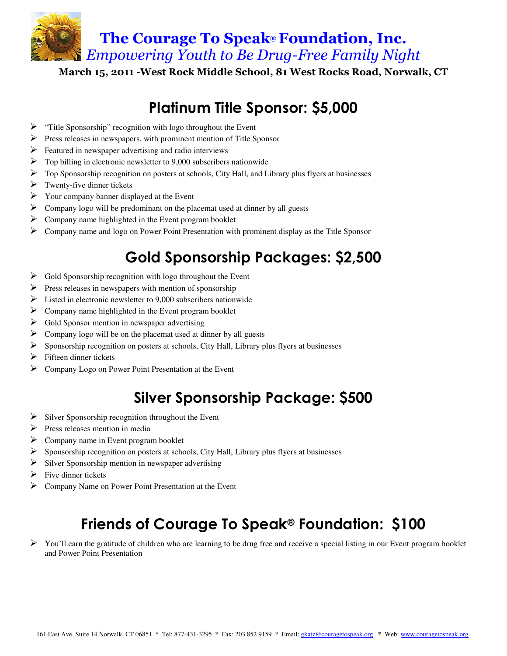The Courage To Speak® Foundation, Inc. Empowering Youth to Be Drug-Free Family Night

March 15, 2011 -West Rock Middle School, 81 West Rocks Road, Norwalk, CT

## Platinum Title Sponsor: \$5,000

- $\triangleright$  "Title Sponsorship" recognition with logo throughout the Event
- $\triangleright$  Press releases in newspapers, with prominent mention of Title Sponsor
- $\triangleright$  Featured in newspaper advertising and radio interviews
- $\triangleright$  Top billing in electronic newsletter to 9,000 subscribers nationwide
- $\triangleright$  Top Sponsorship recognition on posters at schools, City Hall, and Library plus flyers at businesses
- $\triangleright$  Twenty-five dinner tickets
- $\triangleright$  Your company banner displayed at the Event
- $\triangleright$  Company logo will be predominant on the placemat used at dinner by all guests
- $\triangleright$  Company name highlighted in the Event program booklet
- $\triangleright$  Company name and logo on Power Point Presentation with prominent display as the Title Sponsor

# Gold Sponsorship Packages: \$2,500

- $\triangleright$  Gold Sponsorship recognition with logo throughout the Event
- $\triangleright$  Press releases in newspapers with mention of sponsorship
- $\triangleright$  Listed in electronic newsletter to 9.000 subscribers nationwide
- $\triangleright$  Company name highlighted in the Event program booklet
- $\triangleright$  Gold Sponsor mention in newspaper advertising
- $\triangleright$  Company logo will be on the placemat used at dinner by all guests
- $\triangleright$  Sponsorship recognition on posters at schools, City Hall, Library plus flyers at businesses
- $\triangleright$  Fifteen dinner tickets
- $\triangleright$  Company Logo on Power Point Presentation at the Event

## Silver Sponsorship Package: \$500

- $\triangleright$  Silver Sponsorship recognition throughout the Event
- Press releases mention in media
- $\triangleright$  Company name in Event program booklet
- $\triangleright$  Sponsorship recognition on posters at schools, City Hall, Library plus flyers at businesses
- Silver Sponsorship mention in newspaper advertising
- $\triangleright$  Five dinner tickets
- Company Name on Power Point Presentation at the Event

## Friends of Courage To Speak® Foundation: \$100

 $\triangleright$  You'll earn the gratitude of children who are learning to be drug free and receive a special listing in our Event program booklet and Power Point Presentation